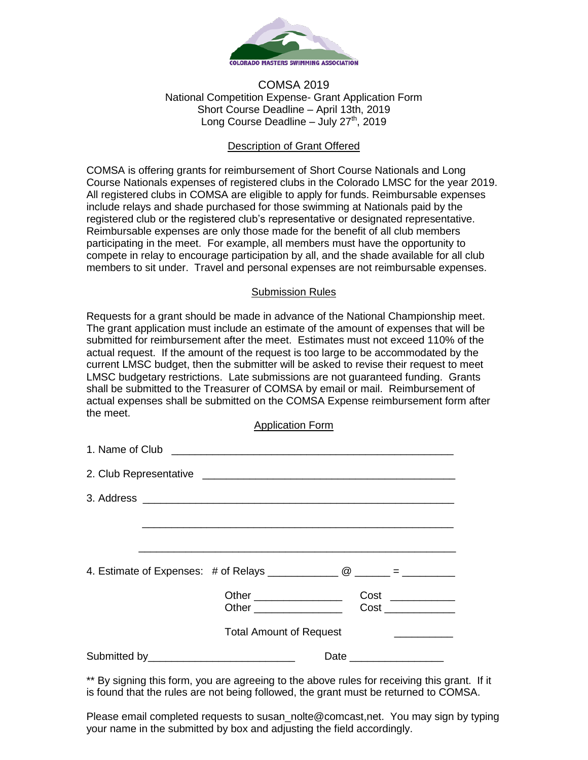

## COMSA 2019 National Competition Expense- Grant Application Form Short Course Deadline – April 13th, 2019 Long Course Deadline – July  $27<sup>th</sup>$ , 2019

## Description of Grant Offered

COMSA is offering grants for reimbursement of Short Course Nationals and Long Course Nationals expenses of registered clubs in the Colorado LMSC for the year 2019. All registered clubs in COMSA are eligible to apply for funds. Reimbursable expenses include relays and shade purchased for those swimming at Nationals paid by the registered club or the registered club's representative or designated representative. Reimbursable expenses are only those made for the benefit of all club members participating in the meet. For example, all members must have the opportunity to compete in relay to encourage participation by all, and the shade available for all club members to sit under. Travel and personal expenses are not reimbursable expenses.

## Submission Rules

Requests for a grant should be made in advance of the National Championship meet. The grant application must include an estimate of the amount of expenses that will be submitted for reimbursement after the meet. Estimates must not exceed 110% of the actual request. If the amount of the request is too large to be accommodated by the current LMSC budget, then the submitter will be asked to revise their request to meet LMSC budgetary restrictions. Late submissions are not guaranteed funding. Grants shall be submitted to the Treasurer of COMSA by email or mail. Reimbursement of actual expenses shall be submitted on the COMSA Expense reimbursement form after the meet.

Application Form

|                                              |                                | $Cost \_$<br>Cost _____________ |
|----------------------------------------------|--------------------------------|---------------------------------|
|                                              | <b>Total Amount of Request</b> |                                 |
| Submitted by________________________________ |                                |                                 |

\*\* By signing this form, you are agreeing to the above rules for receiving this grant. If it is found that the rules are not being followed, the grant must be returned to COMSA.

Please email completed requests to susan\_nolte@comcast,net. You may sign by typing your name in the submitted by box and adjusting the field accordingly.